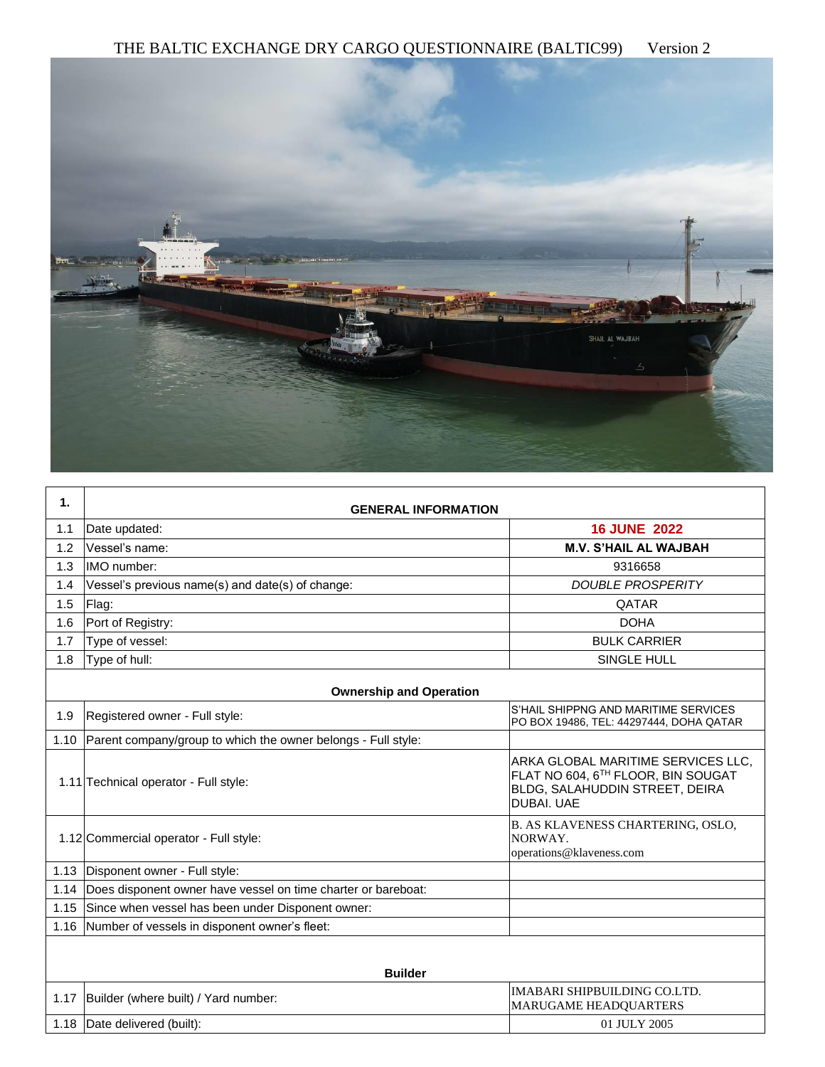

| 1.   | <b>GENERAL INFORMATION</b>                                    |                                                                                                                          |  |  |  |
|------|---------------------------------------------------------------|--------------------------------------------------------------------------------------------------------------------------|--|--|--|
| 1.1  | Date updated:                                                 | <b>16 JUNE 2022</b>                                                                                                      |  |  |  |
| 1.2  | Vessel's name:                                                | <b>M.V. S'HAIL AL WAJBAH</b>                                                                                             |  |  |  |
| 1.3  | IMO number:                                                   | 9316658                                                                                                                  |  |  |  |
| 1.4  | Vessel's previous name(s) and date(s) of change:              | <b>DOUBLE PROSPERITY</b>                                                                                                 |  |  |  |
| 1.5  | Flag:                                                         | QATAR                                                                                                                    |  |  |  |
| 1.6  | Port of Registry:                                             | <b>DOHA</b>                                                                                                              |  |  |  |
| 1.7  | Type of vessel:                                               | <b>BULK CARRIER</b>                                                                                                      |  |  |  |
| 1.8  | Type of hull:                                                 | <b>SINGLE HULL</b>                                                                                                       |  |  |  |
|      | <b>Ownership and Operation</b>                                |                                                                                                                          |  |  |  |
| 1.9  | Registered owner - Full style:                                | S'HAIL SHIPPNG AND MARITIME SERVICES<br>PO BOX 19486, TEL: 44297444, DOHA QATAR                                          |  |  |  |
| 1.10 | Parent company/group to which the owner belongs - Full style: |                                                                                                                          |  |  |  |
|      | 1.11 Technical operator - Full style:                         | ARKA GLOBAL MARITIME SERVICES LLC.<br>FLAT NO 604, 6TH FLOOR, BIN SOUGAT<br>BLDG, SALAHUDDIN STREET, DEIRA<br>DUBAI. UAE |  |  |  |
|      | 1.12 Commercial operator - Full style:                        | B. AS KLAVENESS CHARTERING, OSLO,<br>NORWAY.<br>operations@klaveness.com                                                 |  |  |  |
| 1.13 | Disponent owner - Full style:                                 |                                                                                                                          |  |  |  |
| 1.14 | Does disponent owner have vessel on time charter or bareboat: |                                                                                                                          |  |  |  |
| 1.15 | Since when vessel has been under Disponent owner:             |                                                                                                                          |  |  |  |
| 1.16 | Number of vessels in disponent owner's fleet:                 |                                                                                                                          |  |  |  |
|      | <b>Builder</b>                                                |                                                                                                                          |  |  |  |
| 1.17 | Builder (where built) / Yard number:                          | <b>IMABARI SHIPBUILDING CO.LTD.</b><br>MARUGAME HEADQUARTERS                                                             |  |  |  |
| 1.18 | Date delivered (built):                                       | 01 JULY 2005                                                                                                             |  |  |  |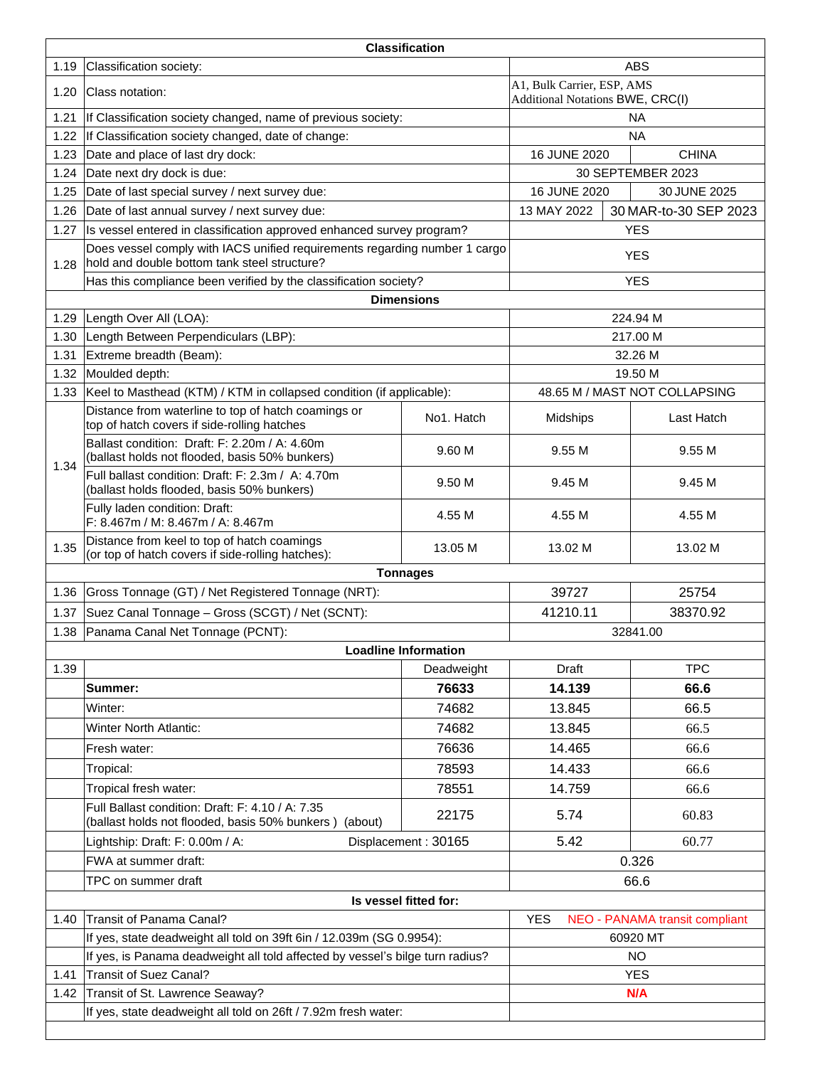| <b>Classification</b> |                                                                                                                            |                                                                |              |                                |  |  |
|-----------------------|----------------------------------------------------------------------------------------------------------------------------|----------------------------------------------------------------|--------------|--------------------------------|--|--|
| 1.19                  | Classification society:                                                                                                    |                                                                |              | <b>ABS</b>                     |  |  |
| 1.20                  | Class notation:                                                                                                            | A1, Bulk Carrier, ESP, AMS<br>Additional Notations BWE, CRC(I) |              |                                |  |  |
| 1.21                  | If Classification society changed, name of previous society:                                                               |                                                                | <b>NA</b>    |                                |  |  |
| 1.22                  | If Classification society changed, date of change:                                                                         |                                                                |              | <b>NA</b>                      |  |  |
| 1.23                  | Date and place of last dry dock:                                                                                           |                                                                | 16 JUNE 2020 | <b>CHINA</b>                   |  |  |
| 1.24                  | Date next dry dock is due:                                                                                                 |                                                                |              | 30 SEPTEMBER 2023              |  |  |
| 1.25                  | Date of last special survey / next survey due:                                                                             |                                                                | 16 JUNE 2020 | 30 JUNE 2025                   |  |  |
| 1.26                  | Date of last annual survey / next survey due:                                                                              |                                                                | 13 MAY 2022  | 30 MAR-to-30 SEP 2023          |  |  |
| 1.27                  | Is vessel entered in classification approved enhanced survey program?                                                      |                                                                |              | <b>YES</b>                     |  |  |
| 1.28                  | Does vessel comply with IACS unified requirements regarding number 1 cargo<br>hold and double bottom tank steel structure? |                                                                |              | <b>YES</b>                     |  |  |
|                       | Has this compliance been verified by the classification society?                                                           |                                                                |              | <b>YES</b>                     |  |  |
|                       |                                                                                                                            | <b>Dimensions</b>                                              |              |                                |  |  |
| 1.29                  | Length Over All (LOA):                                                                                                     |                                                                |              | 224.94 M                       |  |  |
| 1.30                  | Length Between Perpendiculars (LBP):                                                                                       |                                                                |              | 217.00 M                       |  |  |
| 1.31                  | Extreme breadth (Beam):                                                                                                    |                                                                |              | 32.26 M                        |  |  |
| 1.32                  | Moulded depth:                                                                                                             |                                                                |              | 19.50 M                        |  |  |
| 1.33                  | Keel to Masthead (KTM) / KTM in collapsed condition (if applicable):                                                       |                                                                |              | 48.65 M / MAST NOT COLLAPSING  |  |  |
|                       | Distance from waterline to top of hatch coamings or<br>top of hatch covers if side-rolling hatches                         | No1. Hatch                                                     | Midships     | Last Hatch                     |  |  |
| 1.34                  | Ballast condition: Draft: F: 2.20m / A: 4.60m<br>(ballast holds not flooded, basis 50% bunkers)                            | 9.60 M                                                         | 9.55 M       | 9.55 M                         |  |  |
|                       | Full ballast condition: Draft: F: 2.3m / A: 4.70m<br>(ballast holds flooded, basis 50% bunkers)                            | 9.50 M                                                         | 9.45 M       | 9.45 M                         |  |  |
|                       | Fully laden condition: Draft:<br>F: 8.467m / M: 8.467m / A: 8.467m                                                         | 4.55 M                                                         | 4.55 M       | 4.55 M                         |  |  |
| 1.35                  | Distance from keel to top of hatch coamings<br>(or top of hatch covers if side-rolling hatches):                           | 13.05 M                                                        | 13.02 M      | 13.02 M                        |  |  |
|                       |                                                                                                                            | <b>Tonnages</b>                                                |              |                                |  |  |
| 1.36                  | Gross Tonnage (GT) / Net Registered Tonnage (NRT):                                                                         |                                                                | 39727        | 25754                          |  |  |
| 1.37                  | Suez Canal Tonnage - Gross (SCGT) / Net (SCNT):                                                                            |                                                                | 41210.11     | 38370.92                       |  |  |
| 1.38                  | Panama Canal Net Tonnage (PCNT):                                                                                           |                                                                |              | 32841.00                       |  |  |
|                       |                                                                                                                            | <b>Loadline Information</b>                                    |              |                                |  |  |
| 1.39                  |                                                                                                                            | Deadweight                                                     | <b>Draft</b> | <b>TPC</b>                     |  |  |
|                       | Summer:                                                                                                                    | 76633                                                          | 14.139       | 66.6                           |  |  |
|                       | Winter:                                                                                                                    | 74682                                                          | 13.845       | 66.5                           |  |  |
|                       | <b>Winter North Atlantic:</b>                                                                                              | 74682                                                          | 13.845       | 66.5                           |  |  |
|                       | Fresh water:                                                                                                               | 76636                                                          | 14.465       | 66.6                           |  |  |
|                       | Tropical:                                                                                                                  | 78593                                                          | 14.433       | 66.6                           |  |  |
|                       | Tropical fresh water:                                                                                                      | 78551                                                          | 14.759       | 66.6                           |  |  |
|                       | Full Ballast condition: Draft: F: 4.10 / A: 7.35<br>(ballast holds not flooded, basis 50% bunkers) (about)                 | 22175                                                          | 5.74         | 60.83                          |  |  |
|                       | Lightship: Draft: F: 0.00m / A:                                                                                            | Displacement: 30165                                            | 5.42         | 60.77                          |  |  |
|                       | FWA at summer draft:                                                                                                       |                                                                |              | 0.326                          |  |  |
|                       | TPC on summer draft                                                                                                        |                                                                |              | 66.6                           |  |  |
|                       |                                                                                                                            | Is vessel fitted for:                                          |              |                                |  |  |
| 1.40                  | Transit of Panama Canal?                                                                                                   |                                                                | <b>YES</b>   | NEO - PANAMA transit compliant |  |  |
|                       | If yes, state deadweight all told on 39ft 6in / 12.039m (SG 0.9954):                                                       |                                                                |              | 60920 MT                       |  |  |
|                       | If yes, is Panama deadweight all told affected by vessel's bilge turn radius?                                              |                                                                |              | <b>NO</b>                      |  |  |
| 1.41                  | <b>Transit of Suez Canal?</b>                                                                                              |                                                                |              | <b>YES</b>                     |  |  |
| 1.42                  | Transit of St. Lawrence Seaway?                                                                                            |                                                                | N/A          |                                |  |  |
|                       | If yes, state deadweight all told on 26ft / 7.92m fresh water:                                                             |                                                                |              |                                |  |  |
|                       |                                                                                                                            |                                                                |              |                                |  |  |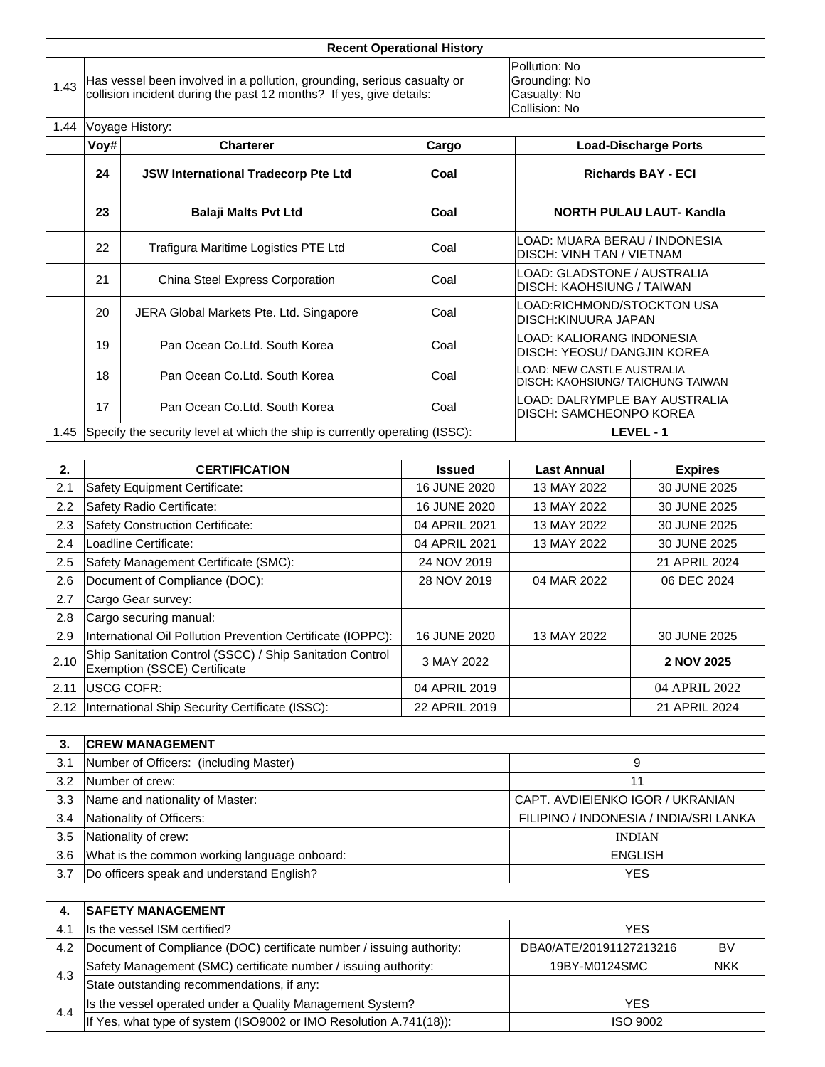|      |      |                                                                                                                                                | <b>Recent Operational History</b>                               |                                                            |
|------|------|------------------------------------------------------------------------------------------------------------------------------------------------|-----------------------------------------------------------------|------------------------------------------------------------|
| 1.43 |      | Has vessel been involved in a pollution, grounding, serious casualty or<br>collision incident during the past 12 months? If yes, give details: | Pollution: No<br>Grounding: No<br>Casualty: No<br>Collision: No |                                                            |
| 1.44 |      | Voyage History:                                                                                                                                |                                                                 |                                                            |
|      | Voy# | <b>Charterer</b>                                                                                                                               | Cargo                                                           | <b>Load-Discharge Ports</b>                                |
|      | 24   | <b>JSW International Tradecorp Pte Ltd</b>                                                                                                     | Coal                                                            | <b>Richards BAY - ECI</b>                                  |
|      | 23   | <b>Balaji Malts Pvt Ltd</b>                                                                                                                    | Coal                                                            | <b>NORTH PULAU LAUT- Kandla</b>                            |
|      | 22   | Trafigura Maritime Logistics PTE Ltd                                                                                                           | Coal                                                            | LOAD: MUARA BERAU / INDONESIA<br>DISCH: VINH TAN / VIETNAM |
|      | 21   | China Steel Express Corporation                                                                                                                | Coal                                                            | LOAD: GLADSTONE / AUSTRALIA<br>DISCH: KAOHSIUNG / TAIWAN   |
|      | 20   | JERA Global Markets Pte. Ltd. Singapore                                                                                                        | Coal                                                            | LOAD:RICHMOND/STOCKTON USA<br>DISCH: KINUURA JAPAN         |
|      | 19   | Pan Ocean Co.Ltd. South Korea                                                                                                                  | Coal                                                            | LOAD: KALIORANG INDONESIA<br>DISCH: YEOSU/ DANGJIN KOREA   |
|      |      |                                                                                                                                                |                                                                 |                                                            |

|    | 1.45 Specify the security level at which the ship is currently operating (ISSC): |      | IFVFL-1                                                                 |
|----|----------------------------------------------------------------------------------|------|-------------------------------------------------------------------------|
| 17 | Pan Ocean Co.Ltd. South Korea                                                    | Coal | ILOAD: DALRYMPLE BAY AUSTRALIA<br>IDISCH: SAMCHEONPO KOREA              |
| 18 | Pan Ocean Co.Ltd. South Korea                                                    | Coal | LOAD: NEW CASTLE AUSTRALIA<br><b>IDISCH: KAOHSIUNG/ TAICHUNG TAIWAN</b> |

| 2.   | <b>CERTIFICATION</b>                                                                     | <b>Issued</b> | Last Annual | <b>Expires</b> |
|------|------------------------------------------------------------------------------------------|---------------|-------------|----------------|
| 2.1  | Safety Equipment Certificate:                                                            | 16 JUNE 2020  | 13 MAY 2022 | 30 JUNE 2025   |
| 2.2  | Safety Radio Certificate:                                                                | 16 JUNE 2020  | 13 MAY 2022 | 30 JUNE 2025   |
| 2.3  | <b>Safety Construction Certificate:</b>                                                  | 04 APRIL 2021 | 13 MAY 2022 | 30 JUNE 2025   |
| 2.4  | Loadline Certificate:                                                                    | 04 APRIL 2021 | 13 MAY 2022 | 30 JUNE 2025   |
| 2.5  | Safety Management Certificate (SMC):                                                     | 24 NOV 2019   |             | 21 APRIL 2024  |
| 2.6  | Document of Compliance (DOC):                                                            | 28 NOV 2019   | 04 MAR 2022 | 06 DEC 2024    |
| 2.7  | Cargo Gear survey:                                                                       |               |             |                |
| 2.8  | Cargo securing manual:                                                                   |               |             |                |
| 2.9  | International Oil Pollution Prevention Certificate (IOPPC):                              | 16 JUNE 2020  | 13 MAY 2022 | 30 JUNE 2025   |
| 2.10 | Ship Sanitation Control (SSCC) / Ship Sanitation Control<br>Exemption (SSCE) Certificate | 3 MAY 2022    |             | 2 NOV 2025     |
| 2.11 | <b>IUSCG COFR:</b>                                                                       | 04 APRIL 2019 |             | 04 APRIL 2022  |
|      | 2.12  International Ship Security Certificate (ISSC):                                    | 22 APRIL 2019 |             | 21 APRIL 2024  |

| 3.  | <b>CREW MANAGEMENT</b>                       |                                        |
|-----|----------------------------------------------|----------------------------------------|
| 3.1 | Number of Officers: (including Master)       |                                        |
| 3.2 | Number of crew:                              |                                        |
| 3.3 | Name and nationality of Master:              | CAPT. AVDIEIENKO IGOR / UKRANIAN       |
| 3.4 | Nationality of Officers:                     | FILIPINO / INDONESIA / INDIA/SRI LANKA |
| 3.5 | Nationality of crew:                         | <b>INDIAN</b>                          |
| 3.6 | What is the common working language onboard: | <b>ENGLISH</b>                         |
| 3.7 | Do officers speak and understand English?    | <b>YES</b>                             |

| 4.  | <b>SAFETY MANAGEMENT</b>                                             |                         |            |  |
|-----|----------------------------------------------------------------------|-------------------------|------------|--|
| 4.1 | Is the vessel ISM certified?<br><b>YES</b>                           |                         |            |  |
| 4.2 | Document of Compliance (DOC) certificate number / issuing authority: | DBA0/ATE/20191127213216 | B٧         |  |
| 4.3 | Safety Management (SMC) certificate number / issuing authority:      | 19BY-M0124SMC           | <b>NKK</b> |  |
|     | State outstanding recommendations, if any:                           |                         |            |  |
| 4.4 | Is the vessel operated under a Quality Management System?            | YFS                     |            |  |
|     | If Yes, what type of system (ISO9002 or IMO Resolution A.741(18)):   | ISO 9002                |            |  |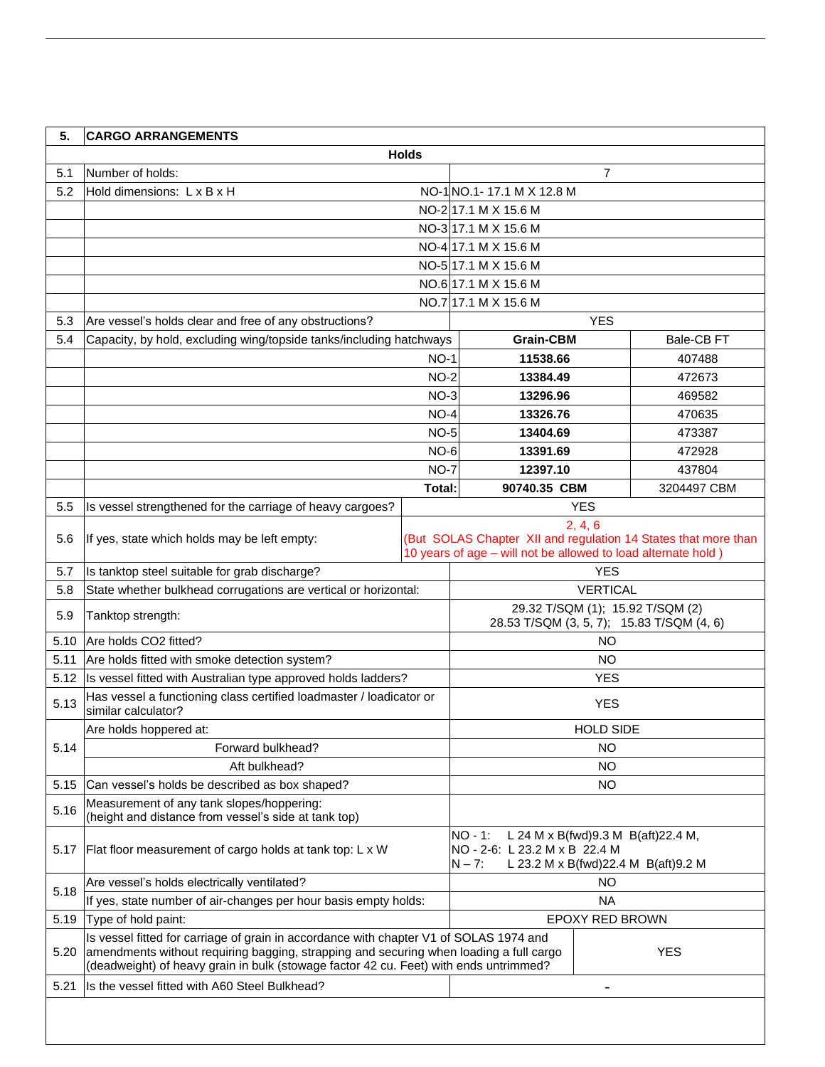| 5.   | <b>CARGO ARRANGEMENTS</b>                                                                                                                                                                                                                                                 |              |                                                                                  |                                                                               |                                                                |  |
|------|---------------------------------------------------------------------------------------------------------------------------------------------------------------------------------------------------------------------------------------------------------------------------|--------------|----------------------------------------------------------------------------------|-------------------------------------------------------------------------------|----------------------------------------------------------------|--|
|      |                                                                                                                                                                                                                                                                           | <b>Holds</b> |                                                                                  |                                                                               |                                                                |  |
| 5.1  | Number of holds:                                                                                                                                                                                                                                                          |              |                                                                                  | 7                                                                             |                                                                |  |
| 5.2  | Hold dimensions: L x B x H                                                                                                                                                                                                                                                |              | NO-1NO.1-17.1 M X 12.8 M                                                         |                                                                               |                                                                |  |
|      |                                                                                                                                                                                                                                                                           |              | NO-2 17.1 M X 15.6 M                                                             |                                                                               |                                                                |  |
|      |                                                                                                                                                                                                                                                                           |              | NO-3 17.1 M X 15.6 M                                                             |                                                                               |                                                                |  |
|      |                                                                                                                                                                                                                                                                           |              | NO-4 17.1 M X 15.6 M                                                             |                                                                               |                                                                |  |
|      |                                                                                                                                                                                                                                                                           |              | NO-5 17.1 M X 15.6 M                                                             |                                                                               |                                                                |  |
|      |                                                                                                                                                                                                                                                                           |              | NO.6 17.1 M X 15.6 M                                                             |                                                                               |                                                                |  |
|      |                                                                                                                                                                                                                                                                           |              | NO.7 17.1 M X 15.6 M                                                             |                                                                               |                                                                |  |
| 5.3  | Are vessel's holds clear and free of any obstructions?                                                                                                                                                                                                                    |              |                                                                                  | <b>YES</b>                                                                    |                                                                |  |
| 5.4  | Capacity, by hold, excluding wing/topside tanks/including hatchways                                                                                                                                                                                                       |              | <b>Grain-CBM</b>                                                                 |                                                                               | Bale-CB FT                                                     |  |
|      |                                                                                                                                                                                                                                                                           | $NO-1$       | 11538.66                                                                         |                                                                               | 407488                                                         |  |
|      |                                                                                                                                                                                                                                                                           | $NO-2$       | 13384.49                                                                         |                                                                               | 472673                                                         |  |
|      |                                                                                                                                                                                                                                                                           | $NO-3$       | 13296.96                                                                         |                                                                               | 469582                                                         |  |
|      |                                                                                                                                                                                                                                                                           | $NO-4$       | 13326.76                                                                         |                                                                               | 470635                                                         |  |
|      |                                                                                                                                                                                                                                                                           | $NO-5$       | 13404.69                                                                         |                                                                               | 473387                                                         |  |
|      |                                                                                                                                                                                                                                                                           | $NO-6$       | 13391.69                                                                         |                                                                               | 472928                                                         |  |
|      |                                                                                                                                                                                                                                                                           | $NO-7$       | 12397.10                                                                         |                                                                               | 437804                                                         |  |
|      |                                                                                                                                                                                                                                                                           | Total:       | 90740.35 CBM                                                                     |                                                                               | 3204497 CBM                                                    |  |
| 5.5  | Is vessel strengthened for the carriage of heavy cargoes?                                                                                                                                                                                                                 |              |                                                                                  | <b>YES</b>                                                                    |                                                                |  |
|      |                                                                                                                                                                                                                                                                           |              |                                                                                  | 2, 4, 6                                                                       |                                                                |  |
| 5.6  | If yes, state which holds may be left empty:                                                                                                                                                                                                                              |              |                                                                                  |                                                                               | (But SOLAS Chapter XII and regulation 14 States that more than |  |
|      |                                                                                                                                                                                                                                                                           |              | 10 years of age - will not be allowed to load alternate hold)                    |                                                                               |                                                                |  |
| 5.7  | Is tanktop steel suitable for grab discharge?                                                                                                                                                                                                                             |              |                                                                                  | <b>YES</b>                                                                    |                                                                |  |
| 5.8  | State whether bulkhead corrugations are vertical or horizontal:                                                                                                                                                                                                           |              |                                                                                  | <b>VERTICAL</b>                                                               |                                                                |  |
| 5.9  | Tanktop strength:                                                                                                                                                                                                                                                         |              |                                                                                  | 29.32 T/SQM (1); 15.92 T/SQM (2)<br>28.53 T/SQM (3, 5, 7); 15.83 T/SQM (4, 6) |                                                                |  |
| 5.10 | Are holds CO2 fitted?                                                                                                                                                                                                                                                     |              |                                                                                  | <b>NO</b>                                                                     |                                                                |  |
| 5.11 | Are holds fitted with smoke detection system?                                                                                                                                                                                                                             |              |                                                                                  | <b>NO</b>                                                                     |                                                                |  |
| 5.12 | Is vessel fitted with Australian type approved holds ladders?                                                                                                                                                                                                             |              |                                                                                  | <b>YES</b>                                                                    |                                                                |  |
| 5.13 | Has vessel a functioning class certified loadmaster / loadicator or<br>similar calculator?                                                                                                                                                                                |              |                                                                                  | <b>YES</b>                                                                    |                                                                |  |
|      | Are holds hoppered at:                                                                                                                                                                                                                                                    |              |                                                                                  | <b>HOLD SIDE</b>                                                              |                                                                |  |
| 5.14 | Forward bulkhead?                                                                                                                                                                                                                                                         |              |                                                                                  | NO                                                                            |                                                                |  |
|      | Aft bulkhead?                                                                                                                                                                                                                                                             |              |                                                                                  | NO                                                                            |                                                                |  |
| 5.15 | Can vessel's holds be described as box shaped?                                                                                                                                                                                                                            |              |                                                                                  | <b>NO</b>                                                                     |                                                                |  |
| 5.16 | Measurement of any tank slopes/hoppering:<br>(height and distance from vessel's side at tank top)                                                                                                                                                                         |              |                                                                                  |                                                                               |                                                                |  |
|      |                                                                                                                                                                                                                                                                           |              | L 24 M x B(fwd) 9.3 M B(aft) 22.4 M,<br>NO - 1:<br>NO - 2-6: L 23.2 M x B 22.4 M |                                                                               |                                                                |  |
| 5.17 | Flat floor measurement of cargo holds at tank top: L x W                                                                                                                                                                                                                  |              | $N - 7:$                                                                         |                                                                               | L 23.2 M x B(fwd)22.4 M B(aft)9.2 M                            |  |
|      | Are vessel's holds electrically ventilated?                                                                                                                                                                                                                               |              |                                                                                  | NΟ                                                                            |                                                                |  |
| 5.18 | If yes, state number of air-changes per hour basis empty holds:                                                                                                                                                                                                           |              |                                                                                  | <b>NA</b>                                                                     |                                                                |  |
| 5.19 | Type of hold paint:                                                                                                                                                                                                                                                       |              |                                                                                  | EPOXY RED BROWN                                                               |                                                                |  |
| 5.20 | Is vessel fitted for carriage of grain in accordance with chapter V1 of SOLAS 1974 and<br>amendments without requiring bagging, strapping and securing when loading a full cargo<br>(deadweight) of heavy grain in bulk (stowage factor 42 cu. Feet) with ends untrimmed? |              |                                                                                  |                                                                               | <b>YES</b>                                                     |  |
| 5.21 | Is the vessel fitted with A60 Steel Bulkhead?                                                                                                                                                                                                                             |              |                                                                                  |                                                                               |                                                                |  |
|      |                                                                                                                                                                                                                                                                           |              |                                                                                  |                                                                               |                                                                |  |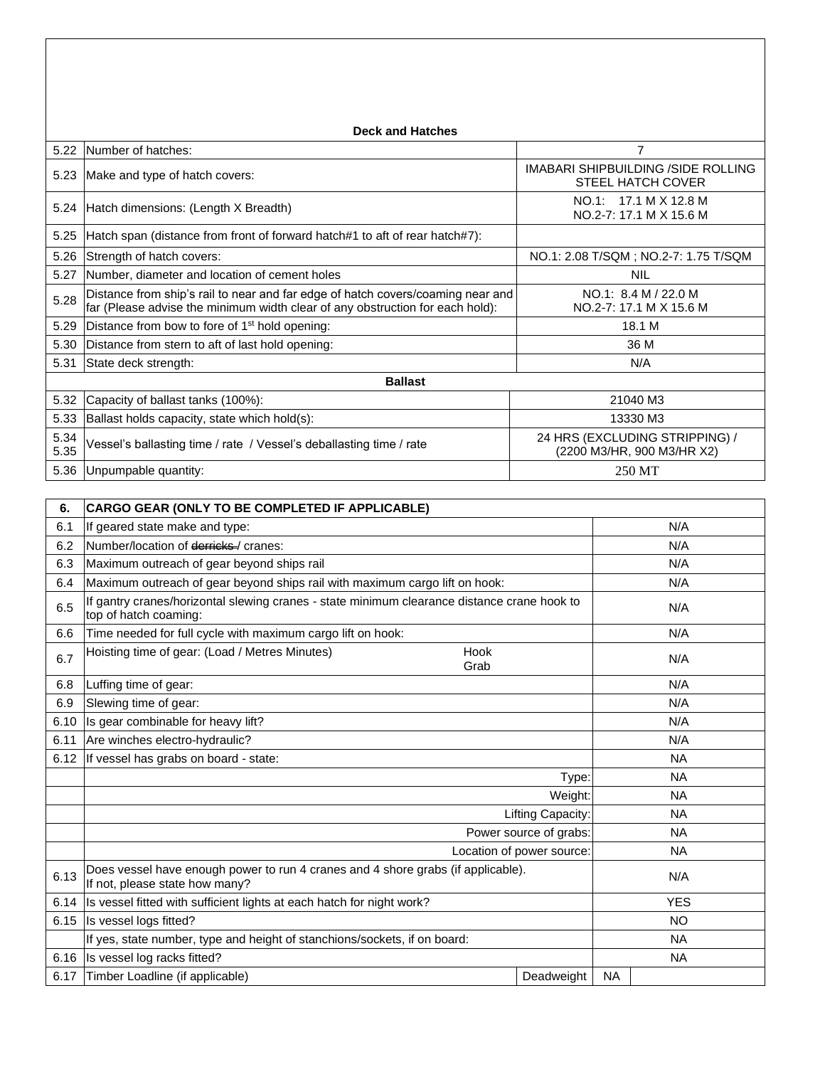|              | <b>Deck and Hatches</b>                                                                                                                                          |                                                                       |  |  |  |
|--------------|------------------------------------------------------------------------------------------------------------------------------------------------------------------|-----------------------------------------------------------------------|--|--|--|
| 5.22         | Number of hatches:                                                                                                                                               | 7                                                                     |  |  |  |
| 5.23         | Make and type of hatch covers:                                                                                                                                   | <b>IMABARI SHIPBUILDING /SIDE ROLLING</b><br><b>STEEL HATCH COVER</b> |  |  |  |
|              | 5.24 Hatch dimensions: (Length X Breadth)                                                                                                                        | NO.1: 17.1 M X 12.8 M<br>NO.2-7: 17.1 M X 15.6 M                      |  |  |  |
| 5.25         | Hatch span (distance from front of forward hatch#1 to aft of rear hatch#7):                                                                                      |                                                                       |  |  |  |
| 5.26         | Strength of hatch covers:                                                                                                                                        | NO.1: 2.08 T/SQM; NO.2-7: 1.75 T/SQM                                  |  |  |  |
| 5.27         | Number, diameter and location of cement holes                                                                                                                    | <b>NIL</b>                                                            |  |  |  |
| 5.28         | Distance from ship's rail to near and far edge of hatch covers/coaming near and<br>far (Please advise the minimum width clear of any obstruction for each hold): | NO.1: 8.4 M / 22.0 M<br>NO.2-7: 17.1 M X 15.6 M                       |  |  |  |
| 5.29         | Distance from bow to fore of 1 <sup>st</sup> hold opening:                                                                                                       | 18.1 M                                                                |  |  |  |
| 5.30         | Distance from stern to aft of last hold opening:                                                                                                                 | 36 M                                                                  |  |  |  |
| 5.31         | State deck strength:                                                                                                                                             | N/A                                                                   |  |  |  |
|              | <b>Ballast</b>                                                                                                                                                   |                                                                       |  |  |  |
| 5.32         | Capacity of ballast tanks (100%):                                                                                                                                | 21040 M3                                                              |  |  |  |
| 5.33         | Ballast holds capacity, state which hold(s):                                                                                                                     | 13330 M3                                                              |  |  |  |
| 5.34<br>5.35 | Vessel's ballasting time / rate / Vessel's deballasting time / rate                                                                                              | 24 HRS (EXCLUDING STRIPPING) /<br>(2200 M3/HR, 900 M3/HR X2)          |  |  |  |
|              | 5.36 Unpumpable quantity:                                                                                                                                        | 250 MT                                                                |  |  |  |

| 6.   | <b>CARGO GEAR (ONLY TO BE COMPLETED IF APPLICABLE)</b>                                                               |                           |            |  |
|------|----------------------------------------------------------------------------------------------------------------------|---------------------------|------------|--|
| 6.1  | If geared state make and type:                                                                                       |                           | N/A        |  |
| 6.2  | Number/location of derricks-/ cranes:                                                                                |                           | N/A        |  |
| 6.3  | Maximum outreach of gear beyond ships rail                                                                           |                           | N/A        |  |
| 6.4  | Maximum outreach of gear beyond ships rail with maximum cargo lift on hook:                                          |                           | N/A        |  |
| 6.5  | If gantry cranes/horizontal slewing cranes - state minimum clearance distance crane hook to<br>top of hatch coaming: |                           | N/A        |  |
| 6.6  | Time needed for full cycle with maximum cargo lift on hook:                                                          |                           | N/A        |  |
| 6.7  | Hoisting time of gear: (Load / Metres Minutes)<br>Hook<br>Grab                                                       |                           | N/A        |  |
| 6.8  | Luffing time of gear:                                                                                                |                           | N/A        |  |
| 6.9  | Slewing time of gear:                                                                                                |                           | N/A        |  |
| 6.10 | Is gear combinable for heavy lift?                                                                                   |                           | N/A        |  |
| 6.11 | Are winches electro-hydraulic?                                                                                       |                           | N/A        |  |
| 6.12 | If vessel has grabs on board - state:                                                                                |                           | <b>NA</b>  |  |
|      |                                                                                                                      | <b>NA</b>                 |            |  |
|      |                                                                                                                      | Weight:                   | <b>NA</b>  |  |
|      |                                                                                                                      | Lifting Capacity:         | <b>NA</b>  |  |
|      |                                                                                                                      | Power source of grabs:    | <b>NA</b>  |  |
|      |                                                                                                                      | Location of power source: | <b>NA</b>  |  |
| 6.13 | Does vessel have enough power to run 4 cranes and 4 shore grabs (if applicable).<br>If not, please state how many?   |                           | N/A        |  |
| 6.14 | Is vessel fitted with sufficient lights at each hatch for night work?                                                |                           | <b>YES</b> |  |
| 6.15 | Is vessel logs fitted?                                                                                               |                           | <b>NO</b>  |  |
|      | If yes, state number, type and height of stanchions/sockets, if on board:                                            |                           | <b>NA</b>  |  |
| 6.16 | Is vessel log racks fitted?                                                                                          |                           | <b>NA</b>  |  |
| 6.17 | Timber Loadline (if applicable)                                                                                      | Deadweight                | <b>NA</b>  |  |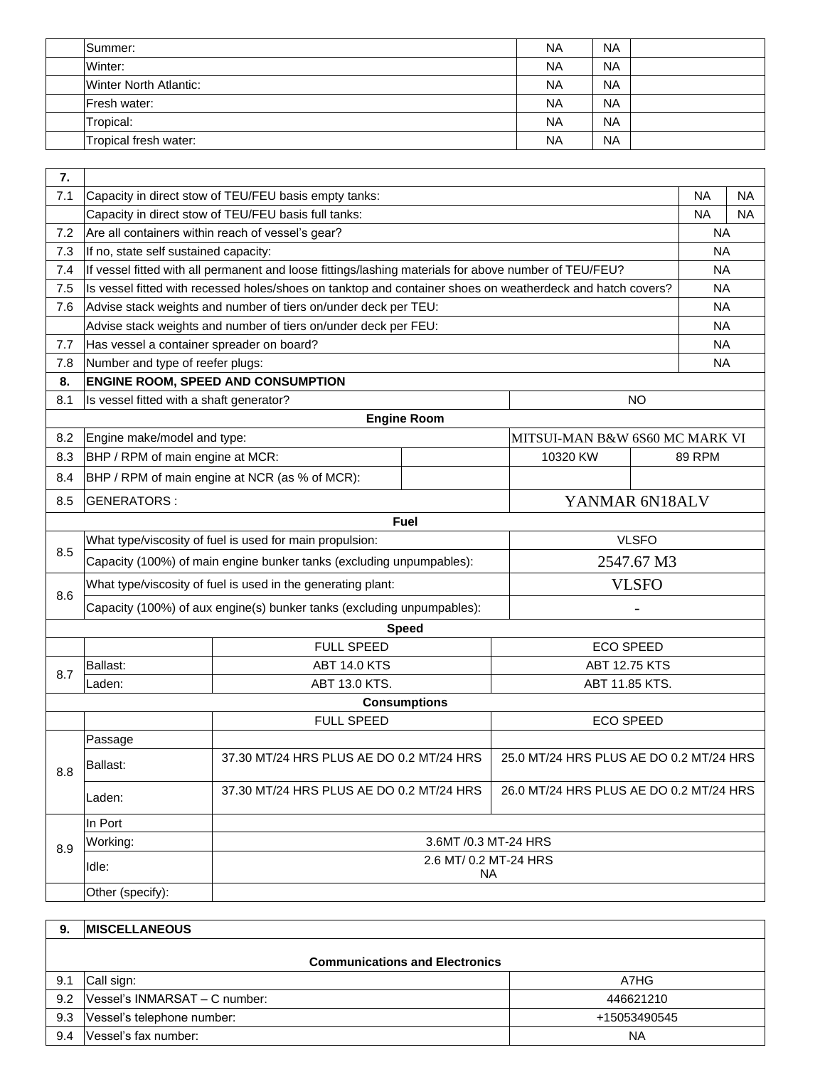| <b>Summer:</b>                | <b>NA</b> | <b>NA</b> |  |
|-------------------------------|-----------|-----------|--|
| Winter:                       | <b>NA</b> | <b>NA</b> |  |
| <b>Winter North Atlantic:</b> | <b>NA</b> | <b>NA</b> |  |
| <b>IFresh water:</b>          | <b>NA</b> | <b>NA</b> |  |
| Tropical:                     | <b>NA</b> | <b>NA</b> |  |
| Tropical fresh water:         | <b>NA</b> | <b>NA</b> |  |

| 7.  |                                                                                                       |                                                                                                            |                       |                                         |               |           |  |
|-----|-------------------------------------------------------------------------------------------------------|------------------------------------------------------------------------------------------------------------|-----------------------|-----------------------------------------|---------------|-----------|--|
| 7.1 |                                                                                                       | Capacity in direct stow of TEU/FEU basis empty tanks:                                                      |                       |                                         | ΝA            | NA        |  |
|     |                                                                                                       | Capacity in direct stow of TEU/FEU basis full tanks:                                                       |                       |                                         | <b>NA</b>     | <b>NA</b> |  |
| 7.2 |                                                                                                       | Are all containers within reach of vessel's gear?                                                          |                       |                                         |               | <b>NA</b> |  |
| 7.3 | If no, state self sustained capacity:                                                                 |                                                                                                            |                       |                                         |               | <b>NA</b> |  |
| 7.4 | If vessel fitted with all permanent and loose fittings/lashing materials for above number of TEU/FEU? |                                                                                                            |                       |                                         |               | <b>NA</b> |  |
| 7.5 |                                                                                                       | Is vessel fitted with recessed holes/shoes on tanktop and container shoes on weatherdeck and hatch covers? |                       |                                         |               | <b>NA</b> |  |
| 7.6 |                                                                                                       | Advise stack weights and number of tiers on/under deck per TEU:                                            |                       |                                         |               | <b>NA</b> |  |
|     |                                                                                                       | Advise stack weights and number of tiers on/under deck per FEU:                                            |                       |                                         |               | ΝA        |  |
| 7.7 | Has vessel a container spreader on board?                                                             |                                                                                                            |                       |                                         |               | ΝA        |  |
| 7.8 | Number and type of reefer plugs:                                                                      |                                                                                                            |                       |                                         |               | <b>NA</b> |  |
| 8.  |                                                                                                       | <b>ENGINE ROOM, SPEED AND CONSUMPTION</b>                                                                  |                       |                                         |               |           |  |
| 8.1 | Is vessel fitted with a shaft generator?                                                              |                                                                                                            |                       | <b>NO</b>                               |               |           |  |
|     |                                                                                                       |                                                                                                            | <b>Engine Room</b>    |                                         |               |           |  |
| 8.2 | Engine make/model and type:                                                                           |                                                                                                            |                       | MITSUI-MAN B&W 6S60 MC MARK VI          |               |           |  |
| 8.3 | BHP / RPM of main engine at MCR:                                                                      |                                                                                                            |                       | 10320 KW                                | <b>89 RPM</b> |           |  |
| 8.4 |                                                                                                       | BHP / RPM of main engine at NCR (as % of MCR):                                                             |                       |                                         |               |           |  |
| 8.5 | YANMAR 6N18ALV<br>GENERATORS:                                                                         |                                                                                                            |                       |                                         |               |           |  |
|     |                                                                                                       |                                                                                                            | <b>Fuel</b>           |                                         |               |           |  |
| 8.5 | <b>VLSFO</b><br>What type/viscosity of fuel is used for main propulsion:                              |                                                                                                            |                       |                                         |               |           |  |
|     |                                                                                                       | Capacity (100%) of main engine bunker tanks (excluding unpumpables):                                       |                       | 2547.67 M3                              |               |           |  |
| 8.6 | <b>VLSFO</b><br>What type/viscosity of fuel is used in the generating plant:                          |                                                                                                            |                       |                                         |               |           |  |
|     |                                                                                                       | Capacity (100%) of aux engine(s) bunker tanks (excluding unpumpables):                                     |                       |                                         |               |           |  |
|     |                                                                                                       |                                                                                                            | <b>Speed</b>          |                                         |               |           |  |
|     |                                                                                                       | <b>FULL SPEED</b>                                                                                          |                       | <b>ECO SPEED</b>                        |               |           |  |
| 8.7 | Ballast:                                                                                              | <b>ABT 14.0 KTS</b>                                                                                        |                       | <b>ABT 12.75 KTS</b>                    |               |           |  |
|     | Laden:                                                                                                | ABT 13.0 KTS.                                                                                              |                       | ABT 11.85 KTS.                          |               |           |  |
|     |                                                                                                       |                                                                                                            | <b>Consumptions</b>   |                                         |               |           |  |
|     |                                                                                                       | <b>FULL SPEED</b>                                                                                          |                       | <b>ECO SPEED</b>                        |               |           |  |
|     | Passage                                                                                               |                                                                                                            |                       |                                         |               |           |  |
| 8.8 | Ballast:                                                                                              | 37.30 MT/24 HRS PLUS AE DO 0.2 MT/24 HRS                                                                   |                       | 25.0 MT/24 HRS PLUS AE DO 0.2 MT/24 HRS |               |           |  |
|     | Laden:                                                                                                | 37.30 MT/24 HRS PLUS AE DO 0.2 MT/24 HRS                                                                   |                       | 26.0 MT/24 HRS PLUS AE DO 0.2 MT/24 HRS |               |           |  |
|     | In Port                                                                                               |                                                                                                            |                       |                                         |               |           |  |
| 8.9 | Working:                                                                                              |                                                                                                            | 3.6MT / 0.3 MT-24 HRS |                                         |               |           |  |
|     | Idle:                                                                                                 | 2.6 MT/ 0.2 MT-24 HRS<br><b>NA</b>                                                                         |                       |                                         |               |           |  |
|     | Other (specify):                                                                                      |                                                                                                            |                       |                                         |               |           |  |

| 9.                                    | <b>IMISCELLANEOUS</b>         |              |  |  |
|---------------------------------------|-------------------------------|--------------|--|--|
| <b>Communications and Electronics</b> |                               |              |  |  |
| 9.1                                   | Call sign:                    | A7HG         |  |  |
| 9.2                                   | Vessel's INMARSAT - C number: | 446621210    |  |  |
| 9.3                                   | Vessel's telephone number:    | +15053490545 |  |  |
| 9.4                                   | Vessel's fax number:          | <b>NA</b>    |  |  |